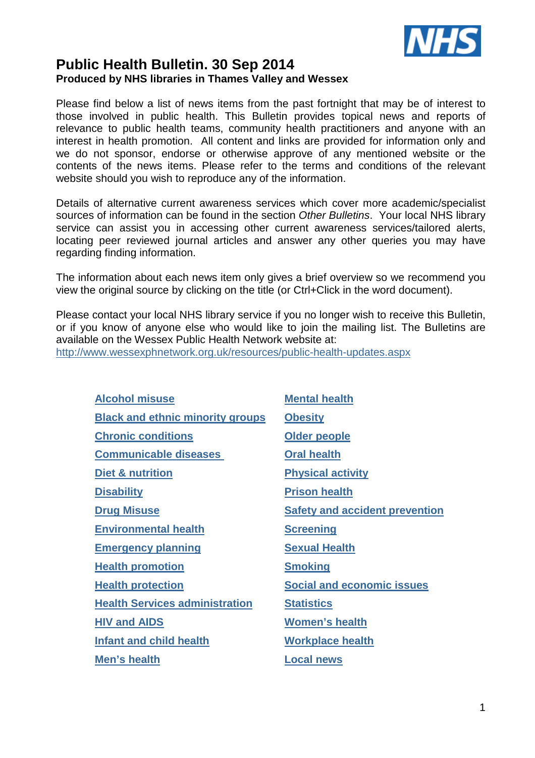

# **Public Health Bulletin. 30 Sep 2014 Produced by NHS libraries in Thames Valley and Wessex**

Please find below a list of news items from the past fortnight that may be of interest to those involved in public health. This Bulletin provides topical news and reports of relevance to public health teams, community health practitioners and anyone with an interest in health promotion. All content and links are provided for information only and we do not sponsor, endorse or otherwise approve of any mentioned website or the contents of the news items. Please refer to the terms and conditions of the relevant website should you wish to reproduce any of the information.

Details of alternative current awareness services which cover more academic/specialist sources of information can be found in the section Other Bulletins. Your local NHS library service can assist you in accessing other current awareness services/tailored alerts, locating peer reviewed journal articles and answer any other queries you may have regarding finding information.

The information about each news item only gives a brief overview so we recommend you view the original source by clicking on the title (or Ctrl+Click in the word document).

Please contact your local NHS library service if you no longer wish to receive this Bulletin, or if you know of anyone else who would like to join the mailing list. The Bulletins are available on the Wessex Public Health Network website at: http://www.wessexphnetwork.org.uk/resources/public-health-updates.aspx

| <b>Alcohol misuse</b>                   | <b>Mental health</b>                  |
|-----------------------------------------|---------------------------------------|
| <b>Black and ethnic minority groups</b> | <b>Obesity</b>                        |
| <b>Chronic conditions</b>               | Older people                          |
| <b>Communicable diseases</b>            | <b>Oral health</b>                    |
| Diet & nutrition                        | <b>Physical activity</b>              |
| <b>Disability</b>                       | <b>Prison health</b>                  |
| <b>Drug Misuse</b>                      | <b>Safety and accident prevention</b> |
| <b>Environmental health</b>             | <b>Screening</b>                      |
| <b>Emergency planning</b>               | <b>Sexual Health</b>                  |
| <b>Health promotion</b>                 | <b>Smoking</b>                        |
| <b>Health protection</b>                | <b>Social and economic issues</b>     |
| <b>Health Services administration</b>   | <b>Statistics</b>                     |
| <b>HIV and AIDS</b>                     | <b>Women's health</b>                 |
| <b>Infant and child health</b>          | <b>Workplace health</b>               |
| Men's health                            | <b>Local news</b>                     |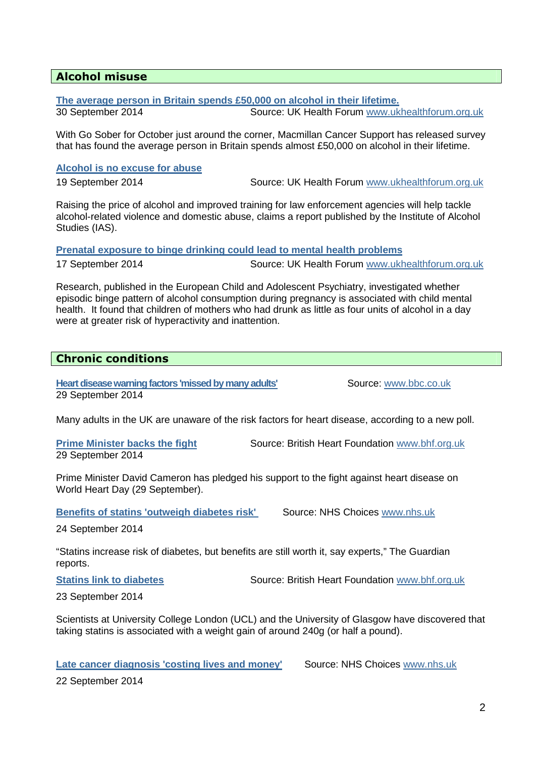# **Alcohol misuse**

**The average person in Britain spends £50,000 on alcohol in their lifetime.**

30 September 2014 Source: UK Health Forum www.ukhealthforum.org.uk

With Go Sober for October just around the corner, Macmillan Cancer Support has released survey that has found the average person in Britain spends almost £50,000 on alcohol in their lifetime.

### **Alcohol is no excuse for abuse**

19 September 2014 Source: UK Health Forum www.ukhealthforum.org.uk

Raising the price of alcohol and improved training for law enforcement agencies will help tackle alcohol-related violence and domestic abuse, claims a report published by the Institute of Alcohol Studies (IAS).

**Prenatal exposure to binge drinking could lead to mental health problems**

17 September 2014 Source: UK Health Forum www.ukhealthforum.org.uk

Research, published in the European Child and Adolescent Psychiatry, investigated whether episodic binge pattern of alcohol consumption during pregnancy is associated with child mental health. It found that children of mothers who had drunk as little as four units of alcohol in a day were at greater risk of hyperactivity and inattention.

# **Chronic conditions**

**Heart disease warning factors 'missed by many adults'** Source: www.bbc.co.uk 29 September 2014

Many adults in the UK are unaware of the risk factors for heart disease, according to a new poll.

29 September 2014

**Prime Minister backs the fight** Source: British Heart Foundation www.bhf.org.uk

Prime Minister David Cameron has pledged his support to the fight against heart disease on World Heart Day (29 September).

**Benefits of statins 'outweigh diabetes risk'** Source: NHS Choices www.nhs.uk

24 September 2014

"Statins increase risk of diabetes, but benefits are still worth it, say experts," The Guardian reports.

**Statins link to diabetes <b>Source:** British Heart Foundation www.bhf.org.uk

23 September 2014

Scientists at University College London (UCL) and the University of Glasgow have discovered that taking statins is associated with a weight gain of around 240g (or half a pound).

Late cancer diagnosis 'costing lives and money' Source: NHS Choices www.nhs.uk

22 September 2014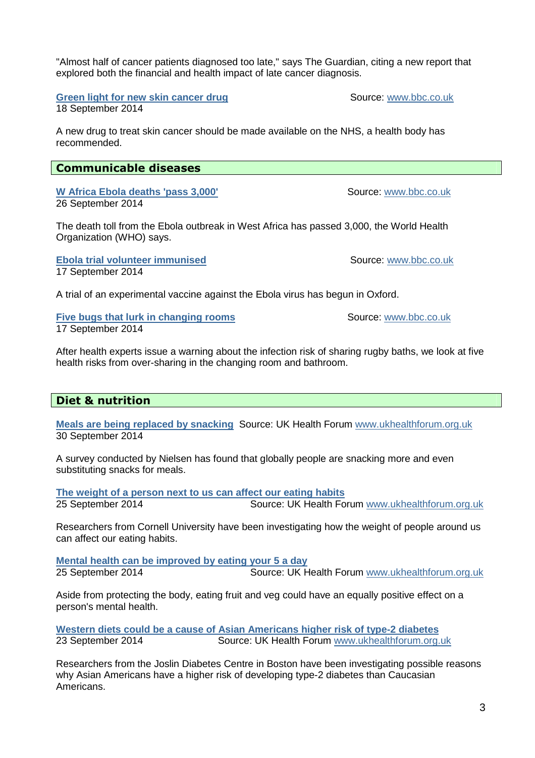"Almost half of cancer patients diagnosed too late," says The Guardian, citing a new report that explored both the financial and health impact of late cancer diagnosis.

**Green light for new skin cancer drug and the Source: www.bbc.co.uk** 

18 September 2014

A new drug to treat skin cancer should be made available on the NHS, a health body has recommended.

# **Communicable diseases**

W Africa Ebola deaths 'pass 3,000' Source: www.bbc.co.uk 26 September 2014

The death toll from the Ebola outbreak in West Africa has passed 3,000, the World Health Organization (WHO) says.

**Ebola trial volunteer immunised Source: www.bbc.co.uk** 17 September 2014

A trial of an experimental vaccine against the Ebola virus has begun in Oxford.

**Five bugs that lurk in changing rooms Source: www.bbc.co.uk** 17 September 2014

After health experts issue a warning about the infection risk of sharing rugby baths, we look at five health risks from over-sharing in the changing room and bathroom.

# **Diet & nutrition**

**Meals are being replaced by snacking** Source: UK Health Forum www.ukhealthforum.org.uk 30 September 2014

A survey conducted by Nielsen has found that globally people are snacking more and even substituting snacks for meals.

**The weight of a person next to us can affect our eating habits**  25 September 2014 Source: UK Health Forum www.ukhealthforum.org.uk

Researchers from Cornell University have been investigating how the weight of people around us can affect our eating habits.

**Mental health can be improved by eating your 5 a day** 25 September 2014 Source: UK Health Forum www.ukhealthforum.org.uk

Aside from protecting the body, eating fruit and veg could have an equally positive effect on a person's mental health.

**Western diets could be a cause of Asian Americans higher risk of type-2 diabetes**  23 September 2014 Source: UK Health Forum www.ukhealthforum.org.uk

Researchers from the Joslin Diabetes Centre in Boston have been investigating possible reasons why Asian Americans have a higher risk of developing type-2 diabetes than Caucasian Americans.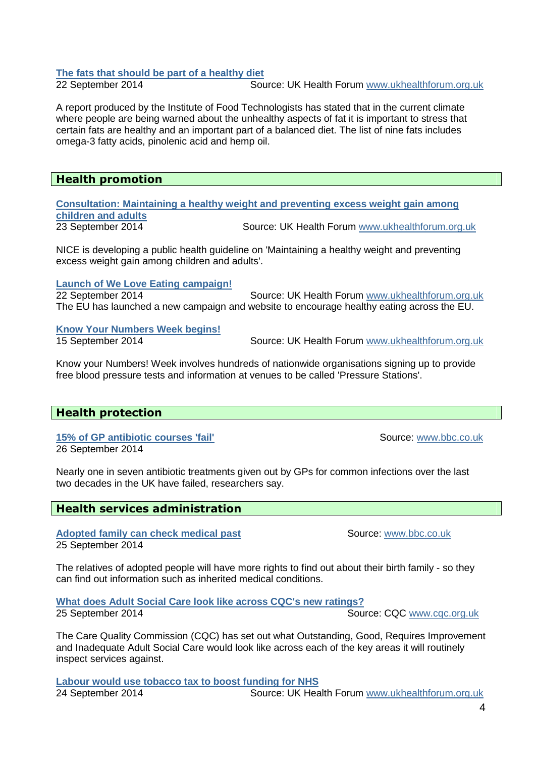# **The fats that should be part of a healthy diet**<br>22 September 2014 **Sould Bould Sould Bould Sould Bould Sould Bould Sould Bould Sould Bould Sould Sould Sould Sou**

**Source: UK Health Forum www.ukhealthforum.org.uk** 

A report produced by the Institute of Food Technologists has stated that in the current climate where people are being warned about the unhealthy aspects of fat it is important to stress that certain fats are healthy and an important part of a balanced diet. The list of nine fats includes omega-3 fatty acids, pinolenic acid and hemp oil.

#### **Health promotion**

**Consultation: Maintaining a healthy weight and preventing excess weight gain among children and adults** 23 September 2014 Source: UK Health Forum www.ukhealthforum.org.uk

NICE is developing a public health guideline on 'Maintaining a healthy weight and preventing excess weight gain among children and adults'.

**Launch of We Love Eating campaign!**

22 September 2014 Source: UK Health Forum www.ukhealthforum.org.uk The EU has launched a new campaign and website to encourage healthy eating across the EU.

**Know Your Numbers Week begins!** 

15 September 2014 Source: UK Health Forum www.ukhealthforum.org.uk

Know your Numbers! Week involves hundreds of nationwide organisations signing up to provide free blood pressure tests and information at venues to be called 'Pressure Stations'.

# **Health protection**

**15% of GP antibiotic courses 'fail'** Source: www.bbc.co.uk 26 September 2014

Nearly one in seven antibiotic treatments given out by GPs for common infections over the last two decades in the UK have failed, researchers say.

# **Health services administration**

Adopted family can check medical past Source: www.bbc.co.uk 25 September 2014

The relatives of adopted people will have more rights to find out about their birth family - so they can find out information such as inherited medical conditions.

**What does Adult Social Care look like across CQC's new ratings?**  25 September 2014 **Source: CQC WWW.cqc.org.uk** 

The Care Quality Commission (CQC) has set out what Outstanding, Good, Requires Improvement and Inadequate Adult Social Care would look like across each of the key areas it will routinely inspect services against.

**Labour would use tobacco tax to boost funding for NHS**  24 September 2014 Source: UK Health Forum www.ukhealthforum.org.uk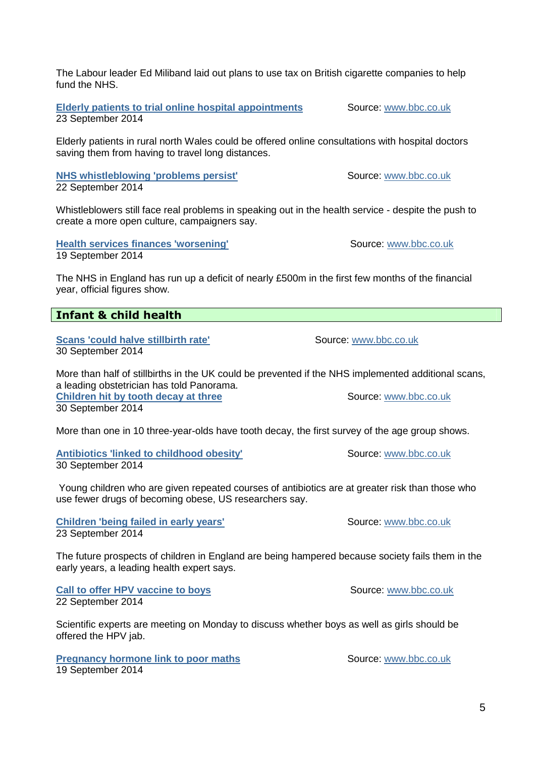The Labour leader Ed Miliband laid out plans to use tax on British cigarette companies to help fund the NHS

**Elderly patients to trial online hospital appointments Source:** www.bbc.co.uk 23 September 2014

Elderly patients in rural north Wales could be offered online consultations with hospital doctors saving them from having to travel long distances.

**NHS whistleblowing 'problems persist'** Source: www.bbc.co.uk 22 September 2014

Whistleblowers still face real problems in speaking out in the health service - despite the push to create a more open culture, campaigners say.

**Health services finances 'worsening'** Source: www.bbc.co.uk 19 September 2014

The NHS in England has run up a deficit of nearly £500m in the first few months of the financial year, official figures show.

# **Infant & child health**

**Scans 'could halve stillbirth rate'** Source: www.bbc.co.uk 30 September 2014

More than half of stillbirths in the UK could be prevented if the NHS implemented additional scans, a leading obstetrician has told Panorama. **Children hit by tooth decay at three Source: www.bbc.co.uk Children hit by tooth decay at three** 

30 September 2014

More than one in 10 three-year-olds have tooth decay, the first survey of the age group shows.

**Antibiotics 'linked to childhood obesity' Source:** www.bbc.co.uk 30 September 2014

 Young children who are given repeated courses of antibiotics are at greater risk than those who use fewer drugs of becoming obese, US researchers say.

**Children 'being failed in early years'** Source: www.bbc.co.uk 23 September 2014

The future prospects of children in England are being hampered because society fails them in the early years, a leading health expert says.

**Call to offer HPV vaccine to boys** Source: www.bbc.co.uk 22 September 2014

Scientific experts are meeting on Monday to discuss whether boys as well as girls should be offered the HPV jab.

**Pregnancy hormone link to poor maths Source:** www.bbc.co.uk 19 September 2014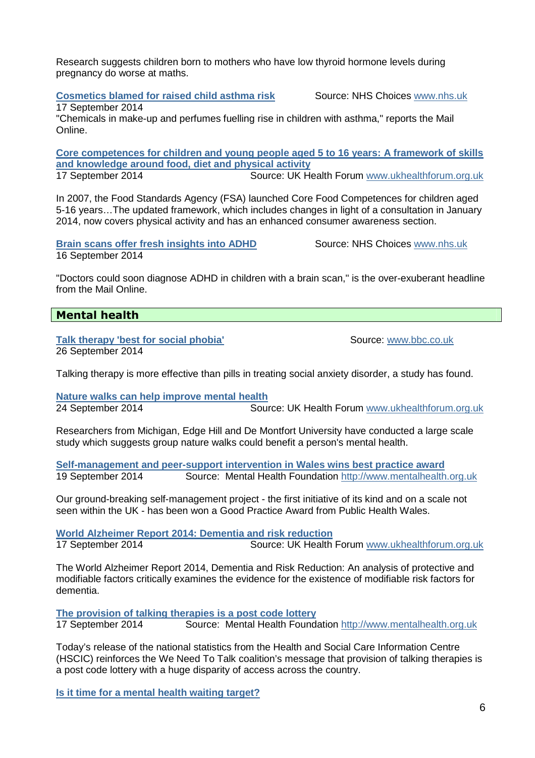Research suggests children born to mothers who have low thyroid hormone levels during pregnancy do worse at maths.

**Cosmetics blamed for raised child asthma risk Source: NHS Choices www.nhs.uk** 

17 September 2014

"Chemicals in make-up and perfumes fuelling rise in children with asthma," reports the Mail Online.

**Core competences for children and young people aged 5 to 16 years: A framework of skills and knowledge around food, diet and physical activity** 17 September 2014 Source: UK Health Forum www.ukhealthforum.org.uk

In 2007, the Food Standards Agency (FSA) launched Core Food Competences for children aged 5-16 years…The updated framework, which includes changes in light of a consultation in January 2014, now covers physical activity and has an enhanced consumer awareness section.

**Brain scans offer fresh insights into ADHD Source: NHS Choices www.nhs.uk** 16 September 2014

"Doctors could soon diagnose ADHD in children with a brain scan," is the over-exuberant headline from the Mail Online.

# **Mental health**

**Talk therapy 'best for social phobia'** Source: www.bbc.co.uk 26 September 2014

Talking therapy is more effective than pills in treating social anxiety disorder, a study has found.

**Nature walks can help improve mental health** 24 September 2014 Source: UK Health Forum www.ukhealthforum.org.uk

Researchers from Michigan, Edge Hill and De Montfort University have conducted a large scale study which suggests group nature walks could benefit a person's mental health.

**Self-management and peer-support intervention in Wales wins best practice award**  19 September 2014 Source: Mental Health Foundation http://www.mentalhealth.org.uk

Our ground-breaking self-management project - the first initiative of its kind and on a scale not seen within the UK - has been won a Good Practice Award from Public Health Wales.

**World Alzheimer Report 2014: Dementia and risk reduction** 17 September 2014 Source: UK Health Forum www.ukhealthforum.org.uk

The World Alzheimer Report 2014, Dementia and Risk Reduction: An analysis of protective and modifiable factors critically examines the evidence for the existence of modifiable risk factors for dementia.

**The provision of talking therapies is a post code lottery**  17 September 2014 Source: Mental Health Foundation http://www.mentalhealth.org.uk

Today's release of the national statistics from the Health and Social Care Information Centre (HSCIC) reinforces the We Need To Talk coalition's message that provision of talking therapies is a post code lottery with a huge disparity of access across the country.

**Is it time for a mental health waiting target?**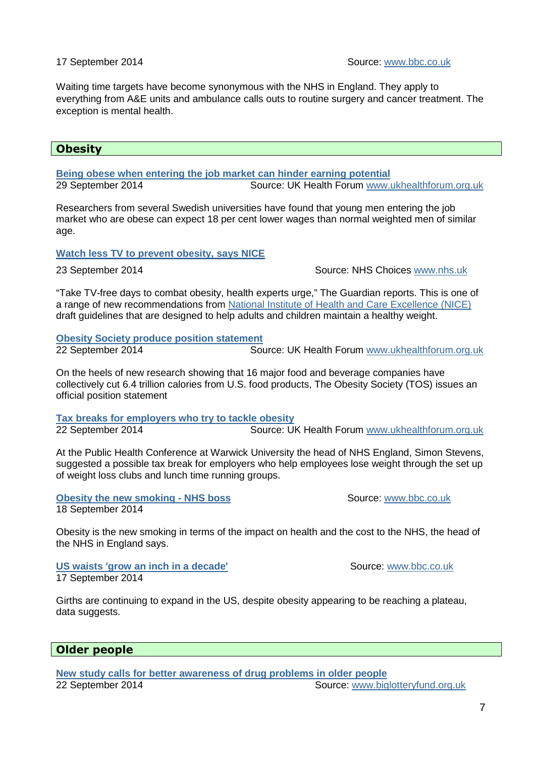Waiting time targets have become synonymous with the NHS in England. They apply to everything from A&E units and ambulance calls outs to routine surgery and cancer treatment. The exception is mental health.

#### **Obesity**

**Being obese when entering the job market can hinder earning potential** 29 September 2014 Source: UK Health Forum www.ukhealthforum.org.uk

Researchers from several Swedish universities have found that young men entering the job market who are obese can expect 18 per cent lower wages than normal weighted men of similar age.

#### **Watch less TV to prevent obesity, says NICE**

23 September 2014 Source: NHS Choices www.nhs.uk

"Take TV-free days to combat obesity, health experts urge," The Guardian reports. This is one of a range of new recommendations from National Institute of Health and Care Excellence (NICE) draft guidelines that are designed to help adults and children maintain a healthy weight.

**Obesity Society produce position statement**

22 September 2014 Source: UK Health Forum www.ukhealthforum.org.uk

On the heels of new research showing that 16 major food and beverage companies have collectively cut 6.4 trillion calories from U.S. food products, The Obesity Society (TOS) issues an official position statement

**Tax breaks for employers who try to tackle obesity** 22 September 2014 Source: UK Health Forum www.ukhealthforum.org.uk

At the Public Health Conference at Warwick University the head of NHS England, Simon Stevens, suggested a possible tax break for employers who help employees lose weight through the set up of weight loss clubs and lunch time running groups.

**Obesity the new smoking - NHS boss Source: WWW.bbc.co.uk** 18 September 2014

Obesity is the new smoking in terms of the impact on health and the cost to the NHS, the head of the NHS in England says.

**US waists 'grow an inch in a decade'** Network and Source: www.bbc.co.uk 17 September 2014

Girths are continuing to expand in the US, despite obesity appearing to be reaching a plateau, data suggests.

#### **Older people**

**New study calls for better awareness of drug problems in older people** 22 September 2014 **Source: WWW.biglotteryfund.org.uk** Source: www.biglotteryfund.org.uk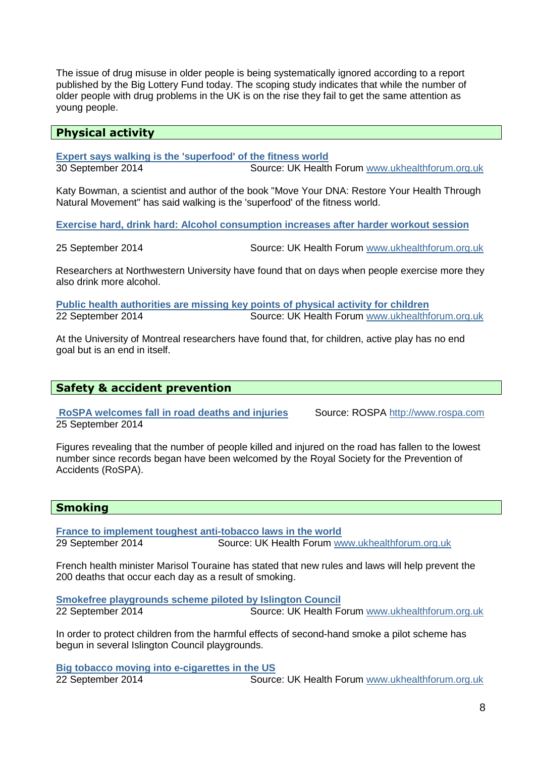The issue of drug misuse in older people is being systematically ignored according to a report published by the Big Lottery Fund today. The scoping study indicates that while the number of older people with drug problems in the UK is on the rise they fail to get the same attention as young people.

#### **Physical activity**

**Expert says walking is the 'superfood' of the fitness world**  30 September 2014 Source: UK Health Forum www.ukhealthforum.org.uk

Katy Bowman, a scientist and author of the book "Move Your DNA: Restore Your Health Through Natural Movement" has said walking is the 'superfood' of the fitness world.

**Exercise hard, drink hard: Alcohol consumption increases after harder workout session**

25 September 2014 Source: UK Health Forum www.ukhealthforum.org.uk

Researchers at Northwestern University have found that on days when people exercise more they also drink more alcohol.

**Public health authorities are missing key points of physical activity for children**  22 September 2014 Source: UK Health Forum www.ukhealthforum.org.uk

At the University of Montreal researchers have found that, for children, active play has no end goal but is an end in itself.

#### **Safety & accident prevention**

 **RoSPA welcomes fall in road deaths and injuries** Source: ROSPA http://www.rospa.com 25 September 2014

Figures revealing that the number of people killed and injured on the road has fallen to the lowest number since records began have been welcomed by the Royal Society for the Prevention of Accidents (RoSPA).

# **Smoking**

**France to implement toughest anti-tobacco laws in the world**  29 September 2014 Source: UK Health Forum www.ukhealthforum.org.uk

French health minister Marisol Touraine has stated that new rules and laws will help prevent the 200 deaths that occur each day as a result of smoking.

**Smokefree playgrounds scheme piloted by Islington Council**  22 September 2014 Source: UK Health Forum www.ukhealthforum.org.uk

In order to protect children from the harmful effects of second-hand smoke a pilot scheme has begun in several Islington Council playgrounds.

**Big tobacco moving into e-cigarettes in the US**  22 September 2014 Source: UK Health Forum www.ukhealthforum.org.uk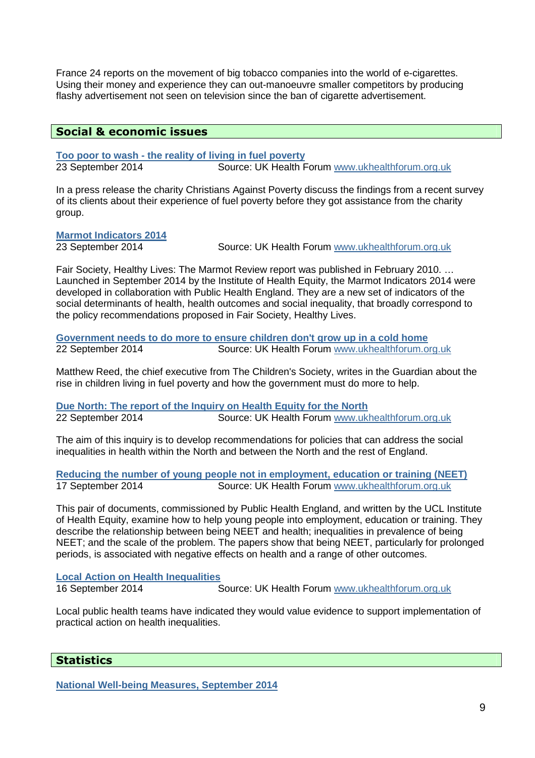France 24 reports on the movement of big tobacco companies into the world of e-cigarettes. Using their money and experience they can out-manoeuvre smaller competitors by producing flashy advertisement not seen on television since the ban of cigarette advertisement.

# **Social & economic issues**

**Too poor to wash - the reality of living in fuel poverty**  Source: UK Health Forum www.ukhealthforum.org.uk

In a press release the charity Christians Against Poverty discuss the findings from a recent survey of its clients about their experience of fuel poverty before they got assistance from the charity group.

**Marmot Indicators 2014** 

23 September 2014 Source: UK Health Forum www.ukhealthforum.org.uk

Fair Society, Healthy Lives: The Marmot Review report was published in February 2010. … Launched in September 2014 by the Institute of Health Equity, the Marmot Indicators 2014 were developed in collaboration with Public Health England. They are a new set of indicators of the social determinants of health, health outcomes and social inequality, that broadly correspond to the policy recommendations proposed in Fair Society, Healthy Lives.

**Government needs to do more to ensure children don't grow up in a cold home**<br>22 September 2014 **Source: UK Health Forum** www.ukhealthforum.o Source: UK Health Forum www.ukhealthforum.org.uk

Matthew Reed, the chief executive from The Children's Society, writes in the Guardian about the rise in children living in fuel poverty and how the government must do more to help.

**Due North: The report of the Inquiry on Health Equity for the North**  22 September 2014 Source: UK Health Forum www.ukhealthforum.org.uk

The aim of this inquiry is to develop recommendations for policies that can address the social inequalities in health within the North and between the North and the rest of England.

**Reducing the number of young people not in employment, education or training (NEET)** 17 September 2014 Source: UK Health Forum www.ukhealthforum.org.uk

This pair of documents, commissioned by Public Health England, and written by the UCL Institute of Health Equity, examine how to help young people into employment, education or training. They describe the relationship between being NEET and health; inequalities in prevalence of being NEET; and the scale of the problem. The papers show that being NEET, particularly for prolonged periods, is associated with negative effects on health and a range of other outcomes.

**Local Action on Health Inequalities** 

16 September 2014 Source: UK Health Forum www.ukhealthforum.org.uk

Local public health teams have indicated they would value evidence to support implementation of practical action on health inequalities.

# **Statistics**

**National Well-being Measures, September 2014**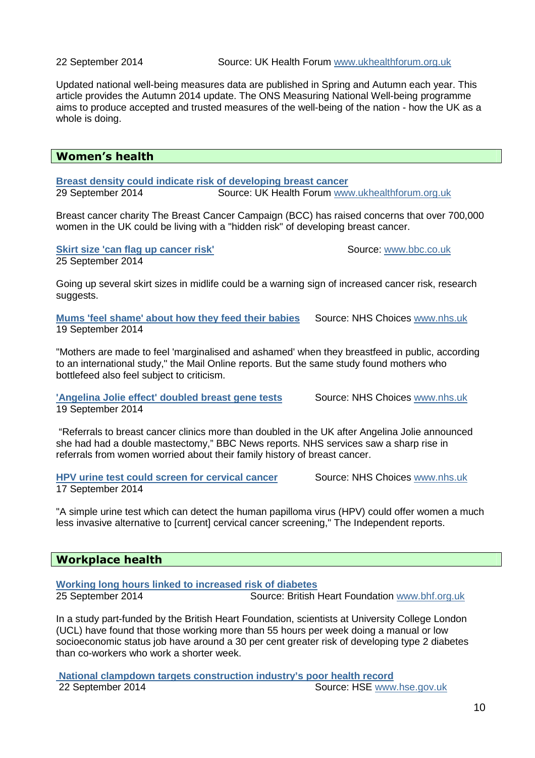22 September 2014 Source: UK Health Forum www.ukhealthforum.org.uk

Updated national well-being measures data are published in Spring and Autumn each year. This article provides the Autumn 2014 update. The ONS Measuring National Well-being programme aims to produce accepted and trusted measures of the well-being of the nation - how the UK as a whole is doing.

### **Women's health**

**Breast density could indicate risk of developing breast cancer**  29 September 2014 Source: UK Health Forum www.ukhealthforum.org.uk

Breast cancer charity The Breast Cancer Campaign (BCC) has raised concerns that over 700,000 women in the UK could be living with a "hidden risk" of developing breast cancer.

**Skirt size 'can flag up cancer risk'** Source: www.bbc.co.uk

25 September 2014

Going up several skirt sizes in midlife could be a warning sign of increased cancer risk, research suggests.

**Mums 'feel shame' about how they feed their babies** Source: NHS Choices www.nhs.uk 19 September 2014

"Mothers are made to feel 'marginalised and ashamed' when they breastfeed in public, according to an international study," the Mail Online reports. But the same study found mothers who bottlefeed also feel subject to criticism.

**'Angelina Jolie effect' doubled breast gene tests Source: NHS Choices www.nhs.uk** 19 September 2014

 "Referrals to breast cancer clinics more than doubled in the UK after Angelina Jolie announced she had had a double mastectomy," BBC News reports. NHS services saw a sharp rise in referrals from women worried about their family history of breast cancer.

**HPV urine test could screen for cervical cancer Source: NHS Choices www.nhs.uk** 17 September 2014

"A simple urine test which can detect the human papilloma virus (HPV) could offer women a much less invasive alternative to [current] cervical cancer screening," The Independent reports.

#### **Workplace health**

**Working long hours linked to increased risk of diabetes** 

25 September 2014 Source: British Heart Foundation www.bhf.org.uk

In a study part-funded by the British Heart Foundation, scientists at University College London (UCL) have found that those working more than 55 hours per week doing a manual or low socioeconomic status job have around a 30 per cent greater risk of developing type 2 diabetes than co-workers who work a shorter week.

 **National clampdown targets construction industry's poor health record** 22 September 2014 Source: HSE www.hse.gov.uk